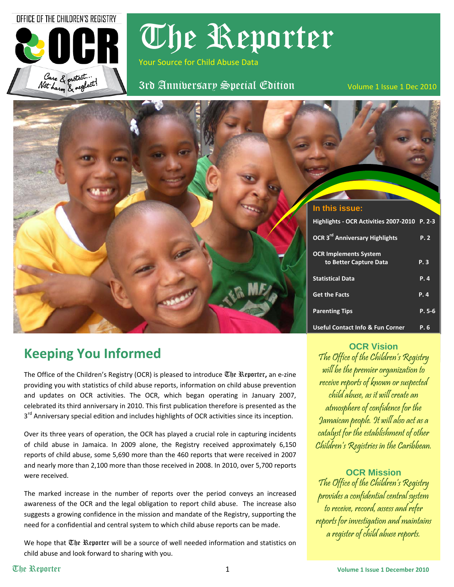OFFICE OF THE CHILDREN'S REGISTRY



The Reporter

Your Source for Child Abuse Data

Case & protect...<br>Not harm & reglect! 3rd Anniversary Special Edition volume 1 Issue 1 Dec 2010



# **Keeping You Informed**

The Office of the Children's Registry (OCR) is pleased to introduce The Reporter**,** an e‐zine providing you with statistics of child abuse reports, information on child abuse prevention and updates on OCR activities. The OCR, which began operating in January 2007, celebrated its third anniversary in 2010. This first publication therefore is presented as the 3<sup>rd</sup> Anniversary special edition and includes highlights of OCR activities since its inception.

Over its three years of operation, the OCR has played a crucial role in capturing incidents of child abuse in Jamaica. In 2009 alone, the Registry received approximately 6,150 reports of child abuse, some 5,690 more than the 460 reports that were received in 2007 and nearly more than 2,100 more than those received in 2008. In 2010, over 5,700 reports were received.

The marked increase in the number of reports over the period conveys an increased awareness of the OCR and the legal obligation to report child abuse. The increase also suggests a growing confidence in the mission and mandate of the Registry, supporting the need for a confidential and central system to which child abuse reports can be made.

We hope that  $\mathbb{U}$  Reporter will be a source of well needed information and statistics on child abuse and look forward to sharing with you.

**OCR Vision**

The Office of the Children's Registry will be the premier organization to receive reports of known or suspected child abuse, as it will create an atmosphere of confidence for the Jamaican people. It will also act as a catalyst for the establishment of other Children's Registries in the Caribbean.

### **OCR Mission**

The Office of the Children's Registry provides a confidential central system to receive, record, assess and refer reports for investigation and maintains a register of child abuse reports.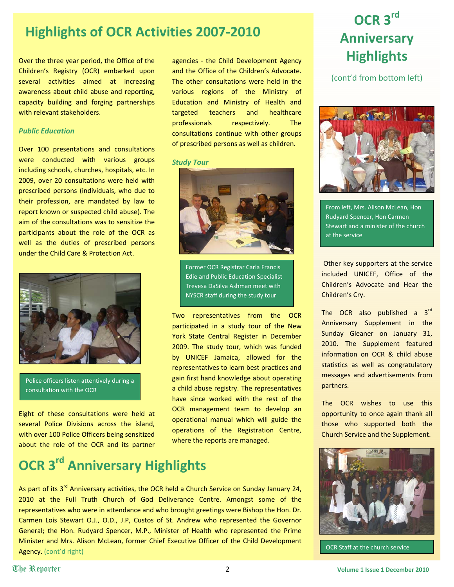### **Highlights of OCR Activities 2007‐2010**

Over the three year period, the Office of the Children's Registry (OCR) embarked upon several activities aimed at increasing awareness about child abuse and reporting, capacity building and forging partnerships with relevant stakeholders.

### *Public Education*

Over 100 presentations and consultations were conducted with various groups including schools, churches, hospitals, etc. In 2009, over 20 consultations were held with prescribed persons (individuals, who due to their profession, are mandated by law to report known or suspected child abuse). The aim of the consultations was to sensitize the participants about the role of the OCR as well as the duties of prescribed persons under the Child Care & Protection Act.



Police officers listen attentively during a consultation with the OCR

Eight of these consultations were held at several Police Divisions across the island, with over 100 Police Officers being sensitized about the role of the OCR and its partner agencies - the Child Development Agency and the Office of the Children's Advocate. The other consultations were held in the various regions of the Ministry of Education and Ministry of Health and targeted teachers and healthcare professionals respectively. The consultations continue with other groups of prescribed persons as well as children.

#### *Study Tour*



Former OCR Registrar Carla Francis Edie and Public Education Specialist Trevesa DaSilva Ashman meet with NYSCR staff during the study tour

Two representatives from the OCR participated in a study tour of the New York State Central Register in December 2009. The study tour, which was funded by UNICEF Jamaica, allowed for the representatives to learn best practices and gain first hand knowledge about operating a child abuse registry. The representatives have since worked with the rest of the OCR management team to develop an operational manual which will guide the operations of the Registration Centre, where the reports are managed.

# **OCR 3rd Anniversary Highlights**

As part of its 3<sup>rd</sup> Anniversary activities, the OCR held a Church Service on Sunday January 24, 2010 at the Full Truth Church of God Deliverance Centre. Amongst some of the representatives who were in attendance and who brought greetings were Bishop the Hon. Dr. Carmen Lois Stewart O.J., O.D., J.P, Custos of St. Andrew who represented the Governor General; the Hon. Rudyard Spencer, M.P., Minister of Health who represented the Prime Minister and Mrs. Alison McLean, former Chief Executive Officer of the Child Development Agency. (cont'd right) **Agency.** (cont'd right) **OCR Staff at the church service** 

# **OCR 3rd Anniversary Highlights**

(cont'd from bottom left)



From left, Mrs. Alison McLean, Hon Rudyard Spencer, Hon Carmen Stewart and a minister of the church at the service

Other key supporters at the service included UNICEF, Office of the Children's Advocate and Hear the Children's Cry.

The OCR also published a 3<sup>rd</sup> Anniversary Supplement in the Sunday Gleaner on January 31, 2010. The Supplement featured information on OCR & child abuse statistics as well as congratulatory messages and advertisements from partners.

The OCR wishes to use this opportunity to once again thank all those who supported both the Church Service and the Supplement.

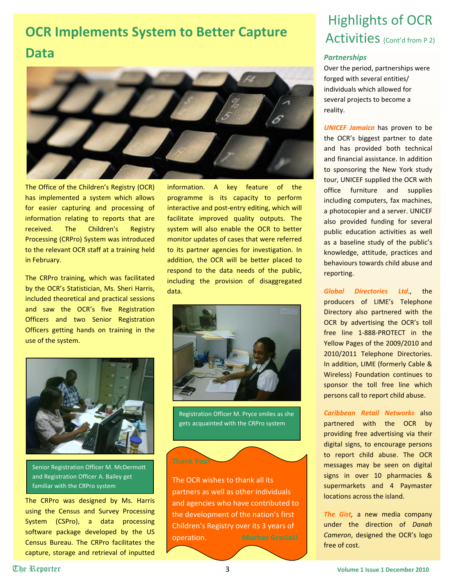# **OCR Implements System to Better Capture Data**



The Office of the Children's Registry (OCR) has implemented a system which allows for easier capturing and processing of information relating to reports that are received. The Children's Registry Processing (CRPro) System was introduced to the relevant OCR staff at a training held in February.

The CRPro training, which was facilitated by the OCR's Statistician, Ms. Sheri Harris, included theoretical and practical sessions and saw the OCR's five Registration Officers and two Senior Registration Officers getting hands on training in the use of the system.

information. A key feature of the programme is its capacity to perform interactive and post-entry editing, which will facilitate improved quality outputs. The system will also enable the OCR to better monitor updates of cases that were referred to its partner agencies for investigation. In addition, the OCR will be better placed to respond to the data needs of the public, including the provision of disaggregated data.



Senior Registration Officer M. McDermott and Registration Officer A. Bailey get familiar with the CRPro system

The CRPro was designed by Ms. Harris using the Census and Survey Processing System (CSPro), a data processing software package developed by the US Census Bureau. The CRPro facilitates the capture, storage and retrieval of inputted



Registration Officer M. Pryce smiles as she gets acquainted with the CRPro system

**Thank You!** 

The OCR wishes to thank all its partners as well as other individuals and agencies who have contributed to the development of the nation's first Children's Registry over its 3 years of operation. **Muchas Gracias!**

# Highlights of OCR Activities (Cont'd from P 2)

### *Partnerships*

Over the period, partnerships were forged with several entities/ individuals which allowed for several projects to become a reality.

*UNICEF Jamaica* has proven to be the OCR's biggest partner to date and has provided both technical and financial assistance. In addition to sponsoring the New York study tour, UNICEF supplied the OCR with office furniture and supplies including computers, fax machines, a photocopier and a server. UNICEF also provided funding for several public education activities as well as a baseline study of the public's knowledge, attitude, practices and behaviours towards child abuse and reporting.

*Global Directories Ltd*., the producers of LIME's Telephone Directory also partnered with the OCR by advertising the OCR's toll free line 1‐888‐PROTECT in the Yellow Pages of the 2009/2010 and 2010/2011 Telephone Directories. In addition, LIME (formerly Cable & Wireless) Foundation continues to sponsor the toll free line which persons call to report child abuse.

*Caribbean Retail Networks* also partnered with the OCR by providing free advertising via their digital signs, to encourage persons to report child abuse. The OCR messages may be seen on digital signs in over 10 pharmacies & supermarkets and 4 Paymaster locations across the island.

*The Gist,* a new media company under the direction of *Danah Cameron*, designed the OCR's logo free of cost.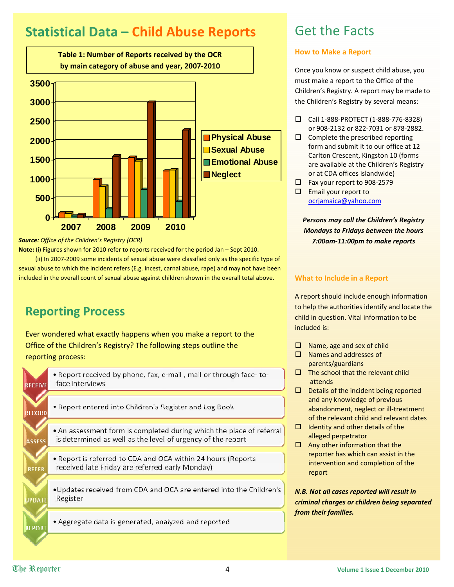# **Statistical Data – Child Abuse Reports**



*Source: Office of the Children's Registry (OCR)*

**Note:** (i) Figures shown for 2010 refer to reports received for the period Jan – Sept 2010.

 (ii) In 2007‐2009 some incidents of sexual abuse were classified only as the specific type of sexual abuse to which the incident refers (E.g. incest, carnal abuse, rape) and may not have been included in the overall count of sexual abuse against children shown in the overall total above.

### **Reporting Process**

Ever wondered what exactly happens when you make a report to the Office of the Children's Registry? The following steps outline the reporting process:

| <b>RECEIVE</b> | . Report received by phone, fax, e-mail, mail or through face-to-<br>face interviews                                                |
|----------------|-------------------------------------------------------------------------------------------------------------------------------------|
|                |                                                                                                                                     |
| <b>RECORD</b>  | . Report entered into Children's Register and Log Book                                                                              |
|                |                                                                                                                                     |
| <b>ASSESS</b>  | • An assessment form is completed during which the place of referral<br>is determined as well as the level of urgency of the report |
|                |                                                                                                                                     |
| <b>REFER</b>   | . Report is referred to CDA and OCA within 24 hours (Reports<br>received late Friday are referred early Monday)                     |
|                |                                                                                                                                     |
| <b>JPDAII</b>  | •Updates received from CDA and OCA are entered into the Children's<br>Register                                                      |
|                |                                                                                                                                     |
| <b>REPORT</b>  | • Aggregate data is generated, analyzed and reported                                                                                |
|                |                                                                                                                                     |

### Get the Facts

### **How to Make a Report**

Once you know or suspect child abuse, you must make a report to the Office of the Children's Registry. A report may be made to the Children's Registry by several means:

- Call 1‐888‐PROTECT (1‐888‐776‐8328) or 908‐2132 or 822‐7031 or 878‐2882.
- $\square$  Complete the prescribed reporting form and submit it to our office at 12 Carlton Crescent, Kingston 10 (forms are available at the Children's Registry or at CDA offices islandwide)
- Fax your report to 908‐2579
- $\square$  Email your report to [ocrjamaica@yahoo.com](mailto:ocrjamaica@yahoo.com)

*Persons may call the Children's Registry Mondays to Fridays between the hours 7:00am‐11:00pm to make reports*

### **What to Include in a Report**

A report should include enough information to help the authorities identify and locate the child in question. Vital information to be included is:

- $\square$  Name, age and sex of child
- $\square$  Names and addresses of parents/guardians
- $\Box$  The school that the relevant child attends
- $\Box$  Details of the incident being reported and any knowledge of previous abandonment, neglect or ill‐treatment of the relevant child and relevant dates
- $\Box$  Identity and other details of the alleged perpetrator
- $\Box$  Any other information that the reporter has which can assist in the intervention and completion of the report

*N.B. Not all cases reported will result in criminal charges or children being separated from their families.*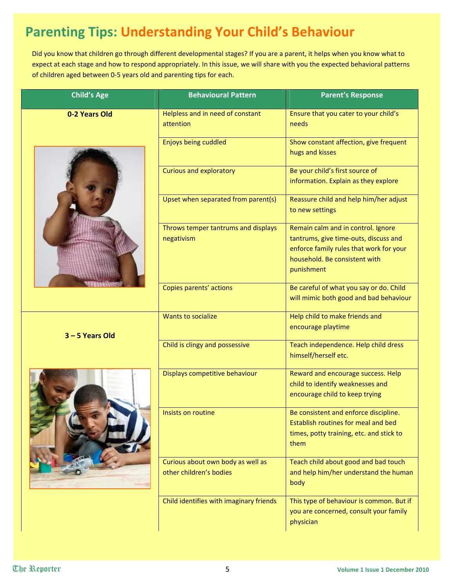# **Parenting Tips: Understanding Your Child's Behaviour**

Did you know that children go through different developmental stages? If you are a parent, it helps when you know what to expect at each stage and how to respond appropriately. In this issue, we will share with you the expected behavioral patterns of children aged between 0‐5 years old and parenting tips for each.

| <b>Child's Age</b> | <b>Behavioural Pattern</b>                                   | <b>Parent's Response</b>                                                                                                                                              |  |  |  |  |
|--------------------|--------------------------------------------------------------|-----------------------------------------------------------------------------------------------------------------------------------------------------------------------|--|--|--|--|
| 0-2 Years Old      | Helpless and in need of constant<br>attention                | Ensure that you cater to your child's<br>needs                                                                                                                        |  |  |  |  |
|                    | Enjoys being cuddled                                         | Show constant affection, give frequent<br>hugs and kisses                                                                                                             |  |  |  |  |
|                    | <b>Curious and exploratory</b>                               | Be your child's first source of<br>information. Explain as they explore                                                                                               |  |  |  |  |
|                    | Upset when separated from parent(s)                          | Reassure child and help him/her adjust<br>to new settings                                                                                                             |  |  |  |  |
|                    | Throws temper tantrums and displays<br>negativism            | Remain calm and in control. Ignore<br>tantrums, give time-outs, discuss and<br>enforce family rules that work for your<br>household. Be consistent with<br>punishment |  |  |  |  |
|                    | Copies parents' actions                                      | Be careful of what you say or do. Child<br>will mimic both good and bad behaviour                                                                                     |  |  |  |  |
| 3-5 Years Old      | <b>Wants to socialize</b>                                    | Help child to make friends and<br>encourage playtime                                                                                                                  |  |  |  |  |
|                    | Child is clingy and possessive                               | Teach independence. Help child dress<br>himself/herself etc.                                                                                                          |  |  |  |  |
|                    | Displays competitive behaviour                               | Reward and encourage success. Help<br>child to identify weaknesses and<br>encourage child to keep trying                                                              |  |  |  |  |
|                    | Insists on routine                                           | Be consistent and enforce discipline.<br>Establish routines for meal and bed<br>times, potty training, etc. and stick to<br>them                                      |  |  |  |  |
|                    | Curious about own body as well as<br>other children's bodies | Teach child about good and bad touch<br>and help him/her understand the human<br>body                                                                                 |  |  |  |  |
|                    | Child identifies with imaginary friends                      | This type of behaviour is common. But if<br>you are concerned, consult your family<br>physician                                                                       |  |  |  |  |